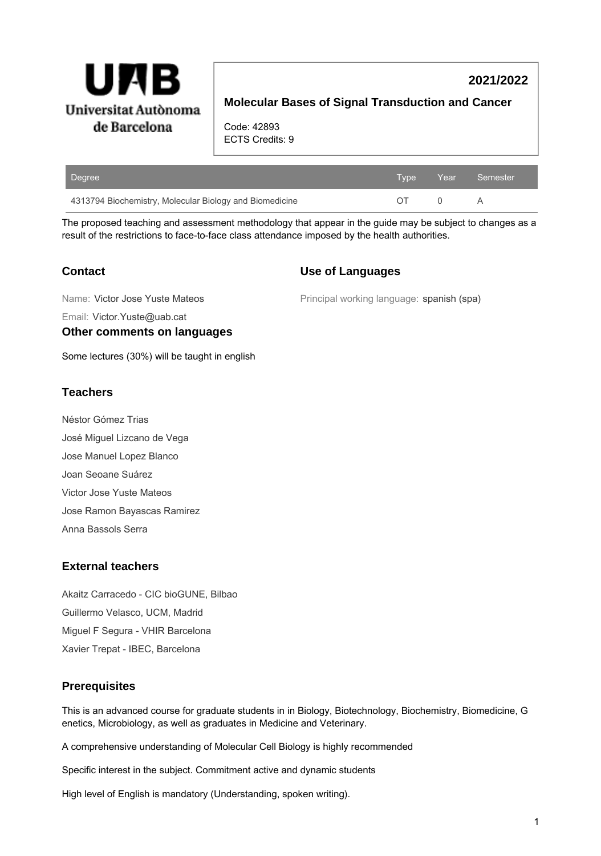

# **Molecular Bases of Signal Transduction and Cancer**

**2021/2022**

Code: 42893 ECTS Credits: 9

| Degree                                                  |  | Type Year Semester' |
|---------------------------------------------------------|--|---------------------|
| 4313794 Biochemistry, Molecular Biology and Biomedicine |  | A                   |

The proposed teaching and assessment methodology that appear in the guide may be subject to changes as a result of the restrictions to face-to-face class attendance imposed by the health authorities.

#### **Contact**

#### **Use of Languages**

Name: Victor Jose Yuste Mateos

Principal working language: spanish (spa)

Email: Victor.Yuste@uab.cat

#### **Other comments on languages**

Some lectures (30%) will be taught in english

## **Teachers**

Néstor Gómez Trias José Miguel Lizcano de Vega Jose Manuel Lopez Blanco Joan Seoane Suárez Victor Jose Yuste Mateos Jose Ramon Bayascas Ramirez Anna Bassols Serra

#### **External teachers**

Akaitz Carracedo - CIC bioGUNE, Bilbao Guillermo Velasco, UCM, Madrid Miguel F Segura - VHIR Barcelona Xavier Trepat - IBEC, Barcelona

# **Prerequisites**

This is an advanced course for graduate students in in Biology, Biotechnology, Biochemistry, Biomedicine, G enetics, Microbiology, as well as graduates in Medicine and Veterinary.

A comprehensive understanding of Molecular Cell Biology is highly recommended

Specific interest in the subject. Commitment active and dynamic students

High level of English is mandatory (Understanding, spoken writing).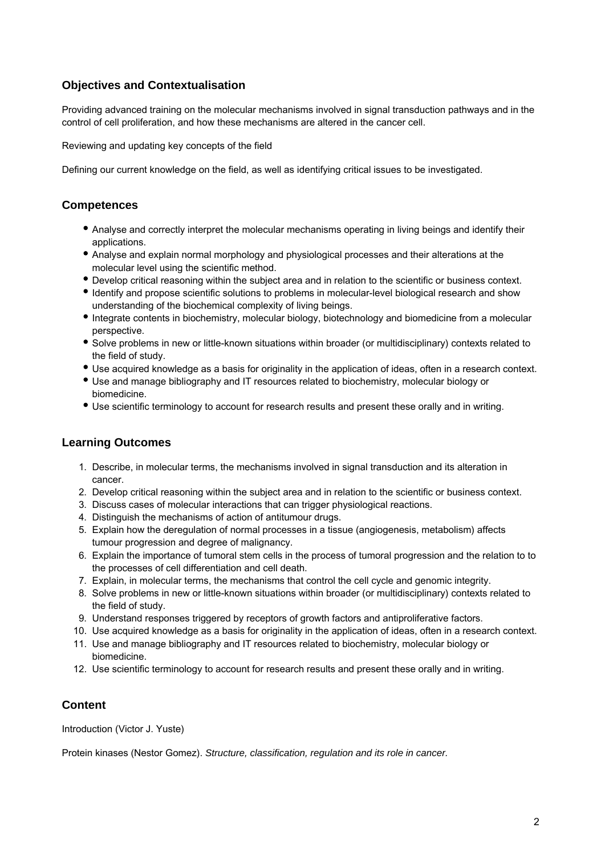# **Objectives and Contextualisation**

Providing advanced training on the molecular mechanisms involved in signal transduction pathways and in the control of cell proliferation, and how these mechanisms are altered in the cancer cell.

Reviewing and updating key concepts of the field

Defining our current knowledge on the field, as well as identifying critical issues to be investigated.

## **Competences**

- Analyse and correctly interpret the molecular mechanisms operating in living beings and identify their applications.
- Analyse and explain normal morphology and physiological processes and their alterations at the molecular level using the scientific method.
- Develop critical reasoning within the subject area and in relation to the scientific or business context.
- Identify and propose scientific solutions to problems in molecular-level biological research and show understanding of the biochemical complexity of living beings.
- Integrate contents in biochemistry, molecular biology, biotechnology and biomedicine from a molecular perspective.
- Solve problems in new or little-known situations within broader (or multidisciplinary) contexts related to the field of study.
- Use acquired knowledge as a basis for originality in the application of ideas, often in a research context.
- Use and manage bibliography and IT resources related to biochemistry, molecular biology or biomedicine.
- Use scientific terminology to account for research results and present these orally and in writing.

#### **Learning Outcomes**

- 1. Describe, in molecular terms, the mechanisms involved in signal transduction and its alteration in cancer.
- 2. Develop critical reasoning within the subject area and in relation to the scientific or business context.
- 3. Discuss cases of molecular interactions that can trigger physiological reactions.
- 4. Distinguish the mechanisms of action of antitumour drugs.
- 5. Explain how the deregulation of normal processes in a tissue (angiogenesis, metabolism) affects tumour progression and degree of malignancy.
- 6. Explain the importance of tumoral stem cells in the process of tumoral progression and the relation to to the processes of cell differentiation and cell death.
- 7. Explain, in molecular terms, the mechanisms that control the cell cycle and genomic integrity.
- 8. Solve problems in new or little-known situations within broader (or multidisciplinary) contexts related to the field of study.
- 9. Understand responses triggered by receptors of growth factors and antiproliferative factors.
- 10. Use acquired knowledge as a basis for originality in the application of ideas, often in a research context.
- 11. Use and manage bibliography and IT resources related to biochemistry, molecular biology or biomedicine.
- 12. Use scientific terminology to account for research results and present these orally and in writing.

# **Content**

Introduction (Victor J. Yuste)

Protein kinases (Nestor Gomez). Structure, classification, regulation and its role in cancer.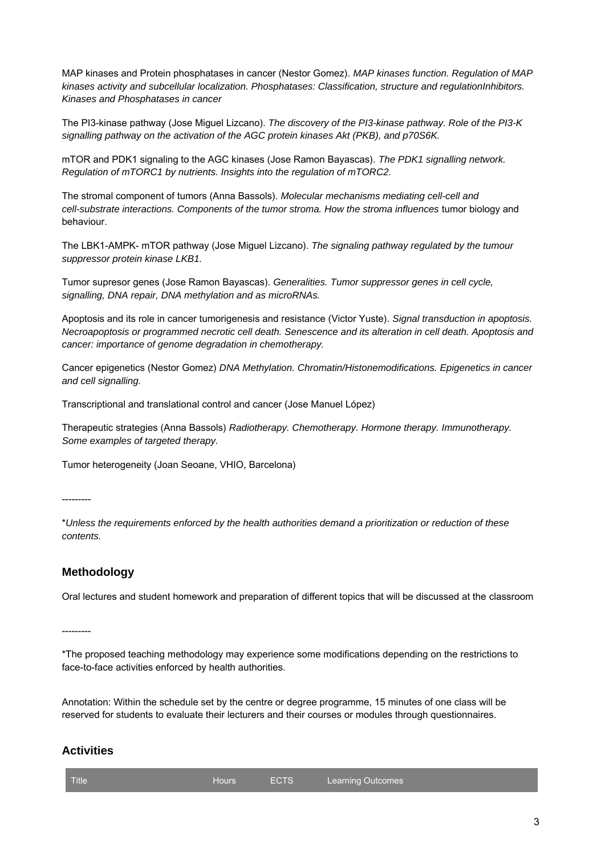MAP kinases and Protein phosphatases in cancer (Nestor Gomez). MAP kinases function. Regulation of MAP kinases activity and subcellular localization. Phosphatases: Classification, structure and regulationInhibitors. Kinases and Phosphatases in cancer

The PI3-kinase pathway (Jose Miguel Lizcano). The discovery of the PI3-kinase pathway. Role of the PI3-K signalling pathway on the activation of the AGC protein kinases Akt (PKB), and p70S6K.

mTOR and PDK1 signaling to the AGC kinases (Jose Ramon Bayascas). The PDK1 signalling network. Regulation of mTORC1 by nutrients. Insights into the regulation of mTORC2.

The stromal component of tumors (Anna Bassols). Molecular mechanisms mediating cell-cell and cell-substrate interactions. Components of the tumor stroma. How the stroma influences tumor biology and behaviour.

The LBK1-AMPK- mTOR pathway (Jose Miguel Lizcano). The signaling pathway regulated by the tumour suppressor protein kinase LKB1.

Tumor supresor genes (Jose Ramon Bayascas). Generalities. Tumor suppressor genes in cell cycle, signalling, DNA repair, DNA methylation and as microRNAs.

Apoptosis and its role in cancer tumorigenesis and resistance (Victor Yuste). Signal transduction in apoptosis. Necroapoptosis or programmed necrotic cell death. Senescence and its alteration in cell death. Apoptosis and cancer: importance of genome degradation in chemotherapy.

Cancer epigenetics (Nestor Gomez) DNA Methylation. Chromatin/Histonemodifications. Epigenetics in cancer and cell signalling.

Transcriptional and translational control and cancer (Jose Manuel López)

Therapeutic strategies (Anna Bassols) Radiotherapy. Chemotherapy. Hormone therapy. Immunotherapy. Some examples of targeted therapy.

Tumor heterogeneity (Joan Seoane, VHIO, Barcelona)

---------

\*Unless the requirements enforced by the health authorities demand a prioritization or reduction of these contents.

#### **Methodology**

Oral lectures and student homework and preparation of different topics that will be discussed at the classroom

---------

\*The proposed teaching methodology may experience some modifications depending on the restrictions to face-to-face activities enforced by health authorities.

Annotation: Within the schedule set by the centre or degree programme, 15 minutes of one class will be reserved for students to evaluate their lecturers and their courses or modules through questionnaires.

#### **Activities**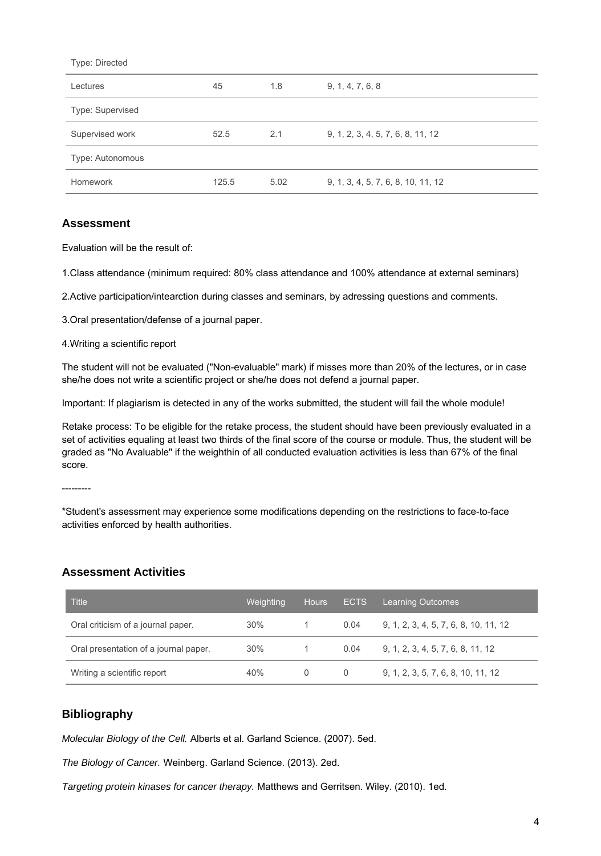| Type: Directed   |       |      |                                    |
|------------------|-------|------|------------------------------------|
| Lectures         | 45    | 1.8  | 9, 1, 4, 7, 6, 8                   |
| Type: Supervised |       |      |                                    |
| Supervised work  | 52.5  | 2.1  | 9, 1, 2, 3, 4, 5, 7, 6, 8, 11, 12  |
| Type: Autonomous |       |      |                                    |
| Homework         | 125.5 | 5.02 | 9, 1, 3, 4, 5, 7, 6, 8, 10, 11, 12 |

#### **Assessment**

Evaluation will be the result of:

1.Class attendance (minimum required: 80% class attendance and 100% attendance at external seminars)

2.Active participation/intearction during classes and seminars, by adressing questions and comments.

3.Oral presentation/defense of a journal paper.

4.Writing a scientific report

The student will not be evaluated ("Non-evaluable" mark) if misses more than 20% of the lectures, or in case she/he does not write a scientific project or she/he does not defend a journal paper.

Important: If plagiarism is detected in any of the works submitted, the student will fail the whole module!

Retake process: To be eligible for the retake process, the student should have been previously evaluated in a set of activities equaling at least two thirds of the final score of the course or module. Thus, the student will be graded as "No Avaluable" if the weighthin of all conducted evaluation activities is less than 67% of the final score.

---------

\*Student's assessment may experience some modifications depending on the restrictions to face-to-face activities enforced by health authorities.

#### **Assessment Activities**

| Title                                 | Weighting | <b>Hours</b> | <b>ECTS</b> | <b>Learning Outcomes</b>              |
|---------------------------------------|-----------|--------------|-------------|---------------------------------------|
| Oral criticism of a journal paper.    | 30%       |              | 0.04        | 9, 1, 2, 3, 4, 5, 7, 6, 8, 10, 11, 12 |
| Oral presentation of a journal paper. | 30%       |              | 0.04        | 9, 1, 2, 3, 4, 5, 7, 6, 8, 11, 12     |
| Writing a scientific report           | 40%       | 0            | 0           | 9, 1, 2, 3, 5, 7, 6, 8, 10, 11, 12    |

#### **Bibliography**

Molecular Biology of the Cell. Alberts et al. Garland Science. (2007). 5ed.

The Biology of Cancer. Weinberg. Garland Science. (2013). 2ed.

Targeting protein kinases for cancer therapy. Matthews and Gerritsen. Wiley. (2010). 1ed.